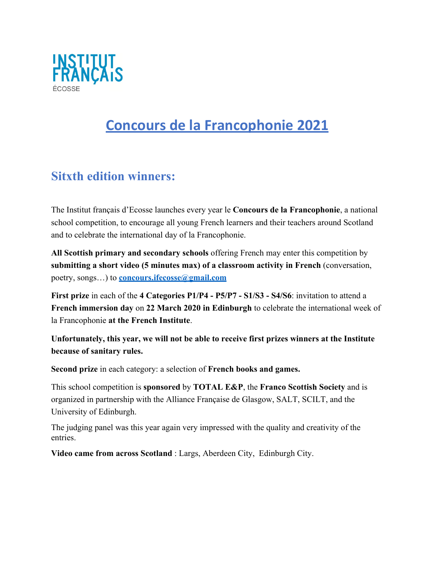

# **Concours de la Francophonie 2021**

## **Sitxth edition winners:**

The Institut français d'Ecosse launches every year le **Concours de la Francophonie**, a national school competition, to encourage all young French learners and their teachers around Scotland and to celebrate the international day of la Francophonie.

**All Scottish primary and secondary schools** offering French may enter this competition by **submitting a short video (5 minutes max) of a classroom activity in French** (conversation, poetry, songs…) to **[concours.ifecosse@gmail.com](mailto:concours.ifecosse@gmail.com)**

**First prize** in each of the **4 Categories P1/P4 - P5/P7 - S1/S3 - S4/S6**: invitation to attend a **French immersion day** on **22 March 2020 in Edinburgh** to celebrate the international week of la Francophonie **at the French Institute**.

**Unfortunately, this year, we will not be able to receive first prizes winners at the Institute because of sanitary rules.**

**Second prize** in each category: a selection of **French books and games.**

This school competition is **sponsored** by **TOTAL E&P**, the **Franco Scottish Society** and is organized in partnership with the Alliance Française de Glasgow, SALT, SCILT, and the University of Edinburgh.

The judging panel was this year again very impressed with the quality and creativity of the entries.

**Video came from across Scotland** : Largs, Aberdeen City, Edinburgh City.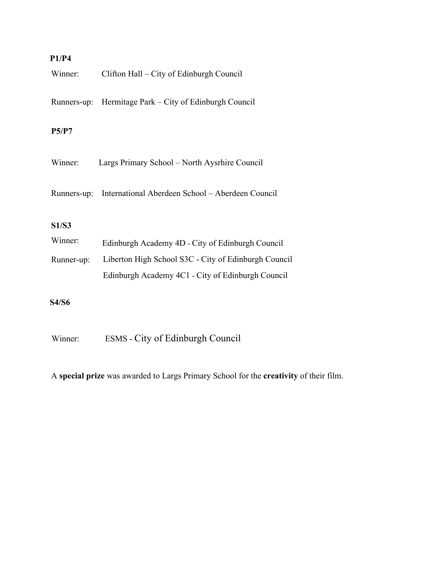### **P1/P4**

| Winner:      | Clifton Hall – City of Edinburgh Council             |
|--------------|------------------------------------------------------|
| Runners-up:  | Hermitage Park – City of Edinburgh Council           |
| P5/P7        |                                                      |
| Winner:      | Largs Primary School - North Aysrhire Council        |
| Runners-up:  | International Aberdeen School - Aberdeen Council     |
| <b>S1/S3</b> |                                                      |
| Winner:      | Edinburgh Academy 4D - City of Edinburgh Council     |
| Runner-up:   | Liberton High School S3C - City of Edinburgh Council |
|              | Edinburgh Academy 4C1 - City of Edinburgh Council    |
| <b>S4/S6</b> |                                                      |

Winner: ESMS - City of Edinburgh Council

A **special prize** was awarded to Largs Primary School for the **creativity** of their film.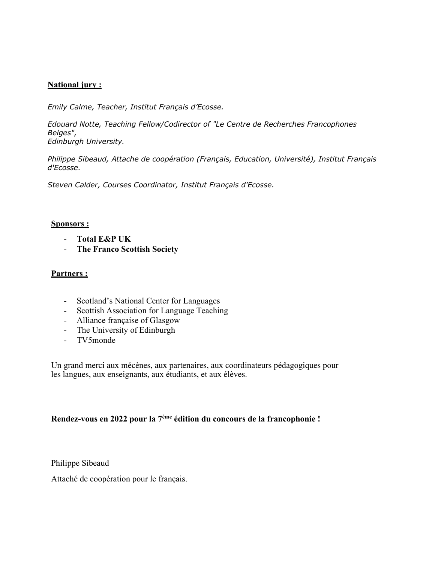#### **National jury :**

*Emily Calme, Teacher, Institut Français d'Ecosse.*

*Edouard Notte, Teaching Fellow/Codirector of "Le Centre de Recherches Francophones Belges",* 

*Edinburgh University.*

*Philippe Sibeaud, Attache de coopération (Français, Education, Université), Institut Français d'Ecosse.*

*Steven Calder, Courses Coordinator, Institut Français d'Ecosse.*

#### **Sponsors :**

- **Total E&P UK**
- **The Franco Scottish Society**

#### **Partners :**

- Scotland's National Center for Languages
- Scottish Association for Language Teaching
- Alliance française of Glasgow
- The University of Edinburgh
- TV5monde

Un grand merci aux mécènes, aux partenaires, aux coordinateurs pédagogiques pour les langues, aux enseignants, aux étudiants, et aux élèves.

#### **Rendez-vous en 2022 pour la 7ème édition du concours de la francophonie !**

Philippe Sibeaud

Attaché de coopération pour le français.